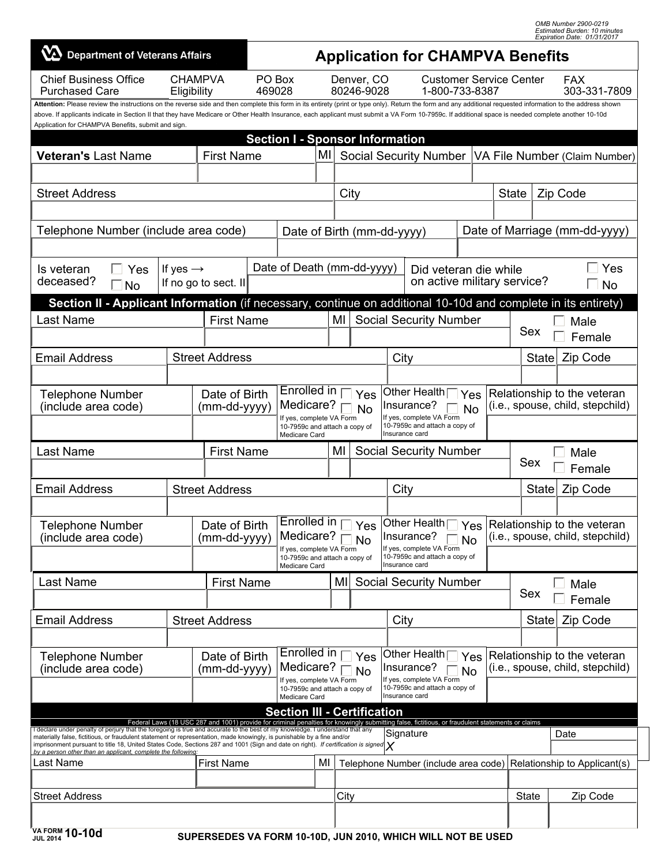| OMB Number 2900-0219                |
|-------------------------------------|
| <b>Estimated Burden: 10 minutes</b> |
| Expiration Date: 01/31/2017         |

| $\mathbf W$ Department of Veterans Affairs                                                                                                                                                                                                                                                                                                                                                                                                                                                                           |                                                                                                         |                                                                                   |  | <b>Application for CHAMPVA Benefits</b>             |           |                                                           |                                                                                          |                                                                                                                                                  |                               |                                                                 |                                                                 |                                  |                              |  |  |
|----------------------------------------------------------------------------------------------------------------------------------------------------------------------------------------------------------------------------------------------------------------------------------------------------------------------------------------------------------------------------------------------------------------------------------------------------------------------------------------------------------------------|---------------------------------------------------------------------------------------------------------|-----------------------------------------------------------------------------------|--|-----------------------------------------------------|-----------|-----------------------------------------------------------|------------------------------------------------------------------------------------------|--------------------------------------------------------------------------------------------------------------------------------------------------|-------------------------------|-----------------------------------------------------------------|-----------------------------------------------------------------|----------------------------------|------------------------------|--|--|
| <b>Chief Business Office</b><br><b>Purchased Care</b>                                                                                                                                                                                                                                                                                                                                                                                                                                                                | <b>CHAMPVA</b><br>Eligibility                                                                           |                                                                                   |  | PO Box<br>469028                                    |           | Denver, CO<br>80246-9028                                  |                                                                                          | <b>Customer Service Center</b><br>1-800-733-8387                                                                                                 |                               |                                                                 |                                                                 |                                  | FAX<br>303-331-7809          |  |  |
| Attention: Please review the instructions on the reverse side and then complete this form in its entirety (print or type only). Return the form and any additional requested information to the address shown<br>above. If applicants indicate in Section II that they have Medicare or Other Health Insurance, each applicant must submit a VA Form 10-7959c. If additional space is needed complete another 10-10d<br>Application for CHAMPVA Benefits, submit and sign.<br><b>Section I - Sponsor Information</b> |                                                                                                         |                                                                                   |  |                                                     |           |                                                           |                                                                                          |                                                                                                                                                  |                               |                                                                 |                                                                 |                                  |                              |  |  |
| <b>First Name</b><br><b>Veteran's Last Name</b>                                                                                                                                                                                                                                                                                                                                                                                                                                                                      |                                                                                                         |                                                                                   |  | MI                                                  |           | <b>Social Security Number</b>                             |                                                                                          |                                                                                                                                                  | VA File Number (Claim Number) |                                                                 |                                                                 |                                  |                              |  |  |
|                                                                                                                                                                                                                                                                                                                                                                                                                                                                                                                      |                                                                                                         |                                                                                   |  |                                                     |           |                                                           |                                                                                          |                                                                                                                                                  |                               |                                                                 |                                                                 |                                  |                              |  |  |
| <b>Street Address</b>                                                                                                                                                                                                                                                                                                                                                                                                                                                                                                |                                                                                                         |                                                                                   |  |                                                     |           | City                                                      |                                                                                          |                                                                                                                                                  |                               | <b>State</b>                                                    |                                                                 |                                  | Zip Code                     |  |  |
|                                                                                                                                                                                                                                                                                                                                                                                                                                                                                                                      |                                                                                                         |                                                                                   |  |                                                     |           |                                                           |                                                                                          |                                                                                                                                                  |                               |                                                                 |                                                                 |                                  |                              |  |  |
| Telephone Number (include area code)                                                                                                                                                                                                                                                                                                                                                                                                                                                                                 |                                                                                                         |                                                                                   |  |                                                     |           | Date of Birth (mm-dd-yyyy)                                |                                                                                          |                                                                                                                                                  |                               |                                                                 |                                                                 | Date of Marriage (mm-dd-yyyy)    |                              |  |  |
| If yes $\rightarrow$<br>Yes<br>Is veteran<br>$\overline{\phantom{0}}$                                                                                                                                                                                                                                                                                                                                                                                                                                                |                                                                                                         |                                                                                   |  | Date of Death (mm-dd-yyyy)                          |           |                                                           |                                                                                          | Did veteran die while                                                                                                                            |                               |                                                                 |                                                                 | Yes                              |                              |  |  |
| deceased?<br>on active military service?<br>If no go to sect. II<br>$\Box$ No                                                                                                                                                                                                                                                                                                                                                                                                                                        |                                                                                                         |                                                                                   |  |                                                     |           |                                                           |                                                                                          |                                                                                                                                                  | $\Box$ No                     |                                                                 |                                                                 |                                  |                              |  |  |
| Section II - Applicant Information (if necessary, continue on additional 10-10d and complete in its entirety)                                                                                                                                                                                                                                                                                                                                                                                                        |                                                                                                         |                                                                                   |  |                                                     |           |                                                           |                                                                                          |                                                                                                                                                  |                               |                                                                 |                                                                 |                                  |                              |  |  |
| <b>Last Name</b>                                                                                                                                                                                                                                                                                                                                                                                                                                                                                                     |                                                                                                         | <b>First Name</b>                                                                 |  | <b>Social Security Number</b><br>MI                 |           |                                                           |                                                                                          |                                                                                                                                                  |                               |                                                                 |                                                                 |                                  | Male                         |  |  |
|                                                                                                                                                                                                                                                                                                                                                                                                                                                                                                                      |                                                                                                         |                                                                                   |  |                                                     |           |                                                           |                                                                                          |                                                                                                                                                  |                               |                                                                 | Sex                                                             |                                  | Female                       |  |  |
| <b>Email Address</b>                                                                                                                                                                                                                                                                                                                                                                                                                                                                                                 |                                                                                                         | <b>Street Address</b>                                                             |  |                                                     | City      |                                                           |                                                                                          |                                                                                                                                                  |                               |                                                                 |                                                                 | <b>State</b>                     | Zip Code                     |  |  |
|                                                                                                                                                                                                                                                                                                                                                                                                                                                                                                                      |                                                                                                         |                                                                                   |  |                                                     |           |                                                           |                                                                                          |                                                                                                                                                  |                               |                                                                 |                                                                 |                                  |                              |  |  |
| <b>Telephone Number</b><br>(include area code)                                                                                                                                                                                                                                                                                                                                                                                                                                                                       |                                                                                                         | Enrolled in<br>Date of Birth<br>Medicare?<br>(mm-dd-yyyy)                         |  |                                                     |           | Other Health<br>Yes<br>Yes<br>Insurance?<br><b>No</b>     |                                                                                          |                                                                                                                                                  |                               |                                                                 | Relationship to the veteran<br>(i.e., spouse, child, stepchild) |                                  |                              |  |  |
|                                                                                                                                                                                                                                                                                                                                                                                                                                                                                                                      |                                                                                                         | If yes, complete VA Form<br>10-7959c and attach a copy of<br><b>Medicare Card</b> |  |                                                     |           |                                                           | <b>No</b><br>If yes, complete VA Form<br>10-7959c and attach a copy of<br>Insurance card |                                                                                                                                                  |                               |                                                                 |                                                                 |                                  |                              |  |  |
| Last Name                                                                                                                                                                                                                                                                                                                                                                                                                                                                                                            |                                                                                                         | <b>First Name</b>                                                                 |  |                                                     | MI        | <b>Social Security Number</b>                             |                                                                                          |                                                                                                                                                  |                               |                                                                 | Male                                                            |                                  |                              |  |  |
|                                                                                                                                                                                                                                                                                                                                                                                                                                                                                                                      |                                                                                                         |                                                                                   |  |                                                     |           |                                                           |                                                                                          |                                                                                                                                                  |                               |                                                                 | Sex<br>Female                                                   |                                  |                              |  |  |
| <b>Email Address</b>                                                                                                                                                                                                                                                                                                                                                                                                                                                                                                 |                                                                                                         | <b>Street Address</b>                                                             |  |                                                     |           | City                                                      |                                                                                          |                                                                                                                                                  |                               |                                                                 |                                                                 | <b>State</b>                     | Zip Code                     |  |  |
|                                                                                                                                                                                                                                                                                                                                                                                                                                                                                                                      |                                                                                                         |                                                                                   |  |                                                     |           |                                                           |                                                                                          |                                                                                                                                                  |                               |                                                                 |                                                                 |                                  |                              |  |  |
| <b>Telephone Number</b>                                                                                                                                                                                                                                                                                                                                                                                                                                                                                              | Date of Birth                                                                                           |                                                                                   |  | Enrolled in<br>Medicare?                            |           | Yes Other Health   Yes Relationship to the veteran        |                                                                                          |                                                                                                                                                  |                               |                                                                 |                                                                 | (i.e., spouse, child, stepchild) |                              |  |  |
| (include area code)                                                                                                                                                                                                                                                                                                                                                                                                                                                                                                  | $(mm-dd-yyyy)$                                                                                          |                                                                                   |  | If yes, complete VA Form                            | $\Box$ No |                                                           | Insurance?<br>$\Box$ No<br>If yes, complete VA Form<br>10-7959c and attach a copy of     |                                                                                                                                                  |                               |                                                                 |                                                                 |                                  |                              |  |  |
|                                                                                                                                                                                                                                                                                                                                                                                                                                                                                                                      |                                                                                                         |                                                                                   |  | 10-7959c and attach a copy of<br>Medicare Card      |           |                                                           | Insurance card                                                                           |                                                                                                                                                  |                               |                                                                 |                                                                 |                                  |                              |  |  |
| Last Name                                                                                                                                                                                                                                                                                                                                                                                                                                                                                                            |                                                                                                         | <b>First Name</b>                                                                 |  |                                                     | MI        |                                                           | <b>Social Security Number</b>                                                            |                                                                                                                                                  |                               |                                                                 |                                                                 |                                  | Male                         |  |  |
|                                                                                                                                                                                                                                                                                                                                                                                                                                                                                                                      |                                                                                                         |                                                                                   |  |                                                     |           |                                                           |                                                                                          |                                                                                                                                                  |                               |                                                                 | Sex                                                             |                                  | Female                       |  |  |
| <b>Email Address</b>                                                                                                                                                                                                                                                                                                                                                                                                                                                                                                 |                                                                                                         | <b>Street Address</b>                                                             |  |                                                     |           | City                                                      |                                                                                          |                                                                                                                                                  | <b>State</b>                  |                                                                 |                                                                 |                                  | Zip Code                     |  |  |
|                                                                                                                                                                                                                                                                                                                                                                                                                                                                                                                      |                                                                                                         |                                                                                   |  | Enrolled in                                         |           |                                                           |                                                                                          |                                                                                                                                                  |                               |                                                                 |                                                                 |                                  |                              |  |  |
| <b>Telephone Number</b><br>(include area code)                                                                                                                                                                                                                                                                                                                                                                                                                                                                       | Date of Birth<br>Medicare?<br>(mm-dd-yyyy)<br>If yes, complete VA Form<br>10-7959c and attach a copy of |                                                                                   |  | $\exists$ Yes<br>$\overline{\Box}$ No               |           | Other Health [<br>Insurance?                              |                                                                                          | Yes<br>$\bar{\phantom{a}}$ No                                                                                                                    |                               | Relationship to the veteran<br>(i.e., spouse, child, stepchild) |                                                                 |                                  |                              |  |  |
|                                                                                                                                                                                                                                                                                                                                                                                                                                                                                                                      |                                                                                                         |                                                                                   |  |                                                     |           | If yes, complete VA Form<br>10-7959c and attach a copy of |                                                                                          |                                                                                                                                                  |                               |                                                                 |                                                                 |                                  |                              |  |  |
|                                                                                                                                                                                                                                                                                                                                                                                                                                                                                                                      |                                                                                                         |                                                                                   |  | Medicare Card<br><b>Section III - Certification</b> |           |                                                           | Insurance card                                                                           |                                                                                                                                                  |                               |                                                                 |                                                                 |                                  |                              |  |  |
|                                                                                                                                                                                                                                                                                                                                                                                                                                                                                                                      |                                                                                                         |                                                                                   |  |                                                     |           |                                                           |                                                                                          | Federal Laws (18 USC 287 and 1001) provide for criminal penalties for knowingly submitting false, fictitious, or fraudulent statements or claims |                               |                                                                 |                                                                 |                                  |                              |  |  |
| I declare under penalty of perjury that the foregoing is true and accurate to the best of my knowledge. I understand that any<br>materially false, fictitious, or fraudulent statement or representation, made knowingly, is punishable by a fine and/or<br>imprisonment pursuant to title 18, United States Code, Sections 287 and 1001 (Sign and date on right). If certification is signed $\chi$                                                                                                                 |                                                                                                         |                                                                                   |  |                                                     |           | Signature                                                 |                                                                                          |                                                                                                                                                  |                               |                                                                 |                                                                 | Date                             |                              |  |  |
| by a person other than an applicant, complete the following.<br>Last Name                                                                                                                                                                                                                                                                                                                                                                                                                                            |                                                                                                         | <b>First Name</b>                                                                 |  | MI                                                  |           |                                                           |                                                                                          | Telephone Number (include area code)                                                                                                             |                               |                                                                 |                                                                 |                                  | Relationship to Applicant(s) |  |  |
|                                                                                                                                                                                                                                                                                                                                                                                                                                                                                                                      |                                                                                                         |                                                                                   |  |                                                     |           |                                                           |                                                                                          |                                                                                                                                                  |                               |                                                                 |                                                                 |                                  |                              |  |  |
| <b>Street Address</b>                                                                                                                                                                                                                                                                                                                                                                                                                                                                                                |                                                                                                         |                                                                                   |  |                                                     | City      |                                                           |                                                                                          |                                                                                                                                                  |                               |                                                                 | State                                                           |                                  | Zip Code                     |  |  |
| VAFORM 40 404                                                                                                                                                                                                                                                                                                                                                                                                                                                                                                        |                                                                                                         |                                                                                   |  |                                                     |           |                                                           |                                                                                          |                                                                                                                                                  |                               |                                                                 |                                                                 |                                  |                              |  |  |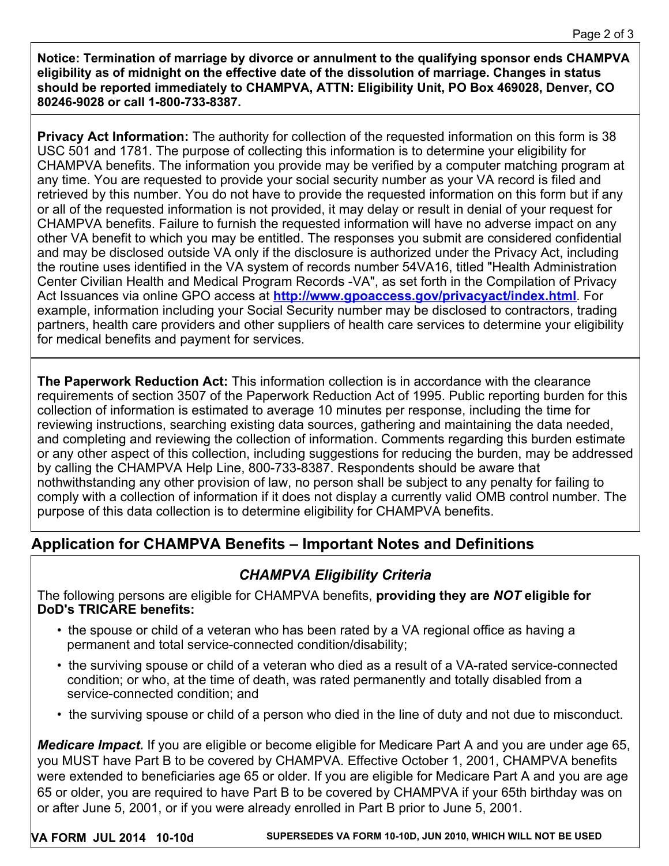**Notice: Termination of marriage by divorce or annulment to the qualifying sponsor ends CHAMPVA eligibility as of midnight on the effective date of the dissolution of marriage. Changes in status should be reported immediately to CHAMPVA, ATTN: Eligibility Unit, PO Box 469028, Denver, CO 80246-9028 or call 1-800-733-8387.**

**Privacy Act Information:** The authority for collection of the requested information on this form is 38 USC 501 and 1781. The purpose of collecting this information is to determine your eligibility for CHAMPVA benefits. The information you provide may be verified by a computer matching program at any time. You are requested to provide your social security number as your VA record is filed and retrieved by this number. You do not have to provide the requested information on this form but if any or all of the requested information is not provided, it may delay or result in denial of your request for CHAMPVA benefits. Failure to furnish the requested information will have no adverse impact on any other VA benefit to which you may be entitled. The responses you submit are considered confidential and may be disclosed outside VA only if the disclosure is authorized under the Privacy Act, including the routine uses identified in the VA system of records number 54VA16, titled "Health Administration Center Civilian Health and Medical Program Records -VA", as set forth in the Compilation of Privacy Act Issuances via online GPO access at **<http://www.gpoaccess.gov/privacyact/index.html>**. For example, information including your Social Security number may be disclosed to contractors, trading partners, health care providers and other suppliers of health care services to determine your eligibility for medical benefits and payment for services.

**The Paperwork Reduction Act:** This information collection is in accordance with the clearance requirements of section 3507 of the Paperwork Reduction Act of 1995. Public reporting burden for this collection of information is estimated to average 10 minutes per response, including the time for reviewing instructions, searching existing data sources, gathering and maintaining the data needed, and completing and reviewing the collection of information. Comments regarding this burden estimate or any other aspect of this collection, including suggestions for reducing the burden, may be addressed by calling the CHAMPVA Help Line, 800-733-8387. Respondents should be aware that nothwithstanding any other provision of law, no person shall be subject to any penalty for failing to comply with a collection of information if it does not display a currently valid OMB control number. The purpose of this data collection is to determine eligibility for CHAMPVA benefits.

## **Application for CHAMPVA Benefits – Important Notes and Definitions**

## *CHAMPVA Eligibility Criteria*

The following persons are eligible for CHAMPVA benefits, **providing they are** *NOT* **eligible for DoD's TRICARE benefits:**

- the spouse or child of a veteran who has been rated by a VA regional office as having a permanent and total service-connected condition/disability;
- the surviving spouse or child of a veteran who died as a result of a VA-rated service-connected condition; or who, at the time of death, was rated permanently and totally disabled from a service-connected condition; and
- the surviving spouse or child of a person who died in the line of duty and not due to misconduct.

*Medicare Impact.* If you are eligible or become eligible for Medicare Part A and you are under age 65, you MUST have Part B to be covered by CHAMPVA. Effective October 1, 2001, CHAMPVA benefits were extended to beneficiaries age 65 or older. If you are eligible for Medicare Part A and you are age 65 or older, you are required to have Part B to be covered by CHAMPVA if your 65th birthday was on or after June 5, 2001, or if you were already enrolled in Part B prior to June 5, 2001.

**VA FORM JUL 2014 10-10d SUPERSEDES VA FORM 10-10D, JUN 2010, WHICH WILL NOT BE USED**